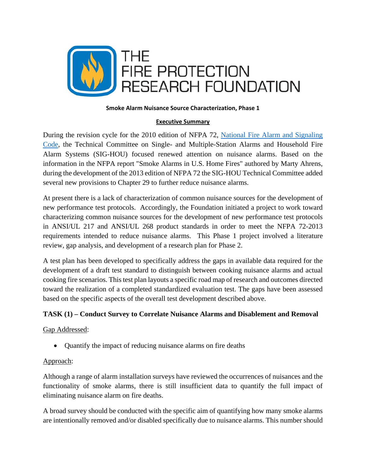

#### **Smoke Alarm Nuisance Source Characterization, Phase 1**

### **Executive Summary**

During the revision cycle for the 2010 edition of NFPA 72, National Fire Alarm and Signaling Code, the Technical Committee on Single- and Multiple-Station Alarms and Household Fire Alarm Systems (SIG-HOU) focused renewed attention on nuisance alarms. Based on the information in the NFPA report "Smoke Alarms in U.S. Home Fires" authored by Marty Ahrens, during the development of the 2013 edition of NFPA 72 the SIG-HOU Technical Committee added several new provisions to Chapter 29 to further reduce nuisance alarms.

At present there is a lack of characterization of common nuisance sources for the development of new performance test protocols. Accordingly, the Foundation initiated a project to work toward characterizing common nuisance sources for the development of new performance test protocols in ANSI/UL 217 and ANSI/UL 268 product standards in order to meet the NFPA 72-2013 requirements intended to reduce nuisance alarms. This Phase 1 project involved a literature review, gap analysis, and development of a research plan for Phase 2.

A test plan has been developed to specifically address the gaps in available data required for the development of a draft test standard to distinguish between cooking nuisance alarms and actual cooking fire scenarios. This test plan layouts a specific road map of research and outcomes directed toward the realization of a completed standardized evaluation test. The gaps have been assessed based on the specific aspects of the overall test development described above.

# **TASK (1) – Conduct Survey to Correlate Nuisance Alarms and Disablement and Removal**

### Gap Addressed:

Quantify the impact of reducing nuisance alarms on fire deaths

### Approach:

Although a range of alarm installation surveys have reviewed the occurrences of nuisances and the functionality of smoke alarms, there is still insufficient data to quantify the full impact of eliminating nuisance alarm on fire deaths.

A broad survey should be conducted with the specific aim of quantifying how many smoke alarms are intentionally removed and/or disabled specifically due to nuisance alarms. This number should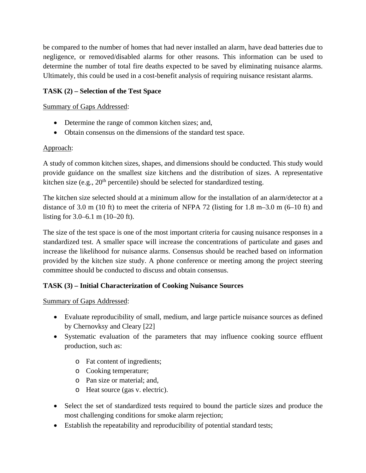be compared to the number of homes that had never installed an alarm, have dead batteries due to negligence, or removed/disabled alarms for other reasons. This information can be used to determine the number of total fire deaths expected to be saved by eliminating nuisance alarms. Ultimately, this could be used in a cost-benefit analysis of requiring nuisance resistant alarms.

# **TASK (2) – Selection of the Test Space**

### Summary of Gaps Addressed:

- Determine the range of common kitchen sizes; and,
- Obtain consensus on the dimensions of the standard test space.

### Approach:

A study of common kitchen sizes, shapes, and dimensions should be conducted. This study would provide guidance on the smallest size kitchens and the distribution of sizes. A representative kitchen size (e.g.,  $20<sup>th</sup>$  percentile) should be selected for standardized testing.

The kitchen size selected should at a minimum allow for the installation of an alarm/detector at a distance of 3.0 m (10 ft) to meet the criteria of NFPA 72 (listing for 1.8 m–3.0 m (6–10 ft) and listing for 3.0–6.1 m (10–20 ft).

The size of the test space is one of the most important criteria for causing nuisance responses in a standardized test. A smaller space will increase the concentrations of particulate and gases and increase the likelihood for nuisance alarms. Consensus should be reached based on information provided by the kitchen size study. A phone conference or meeting among the project steering committee should be conducted to discuss and obtain consensus.

# **TASK (3) – Initial Characterization of Cooking Nuisance Sources**

# Summary of Gaps Addressed:

- Evaluate reproducibility of small, medium, and large particle nuisance sources as defined by Chernovksy and Cleary [22]
- Systematic evaluation of the parameters that may influence cooking source effluent production, such as:
	- o Fat content of ingredients;
	- o Cooking temperature;
	- o Pan size or material; and,
	- o Heat source (gas v. electric).
- Select the set of standardized tests required to bound the particle sizes and produce the most challenging conditions for smoke alarm rejection;
- Establish the repeatability and reproducibility of potential standard tests;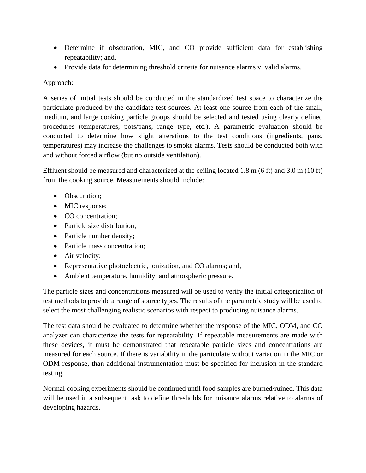- Determine if obscuration, MIC, and CO provide sufficient data for establishing repeatability; and,
- Provide data for determining threshold criteria for nuisance alarms v. valid alarms.

### Approach:

A series of initial tests should be conducted in the standardized test space to characterize the particulate produced by the candidate test sources. At least one source from each of the small, medium, and large cooking particle groups should be selected and tested using clearly defined procedures (temperatures, pots/pans, range type, etc.). A parametric evaluation should be conducted to determine how slight alterations to the test conditions (ingredients, pans, temperatures) may increase the challenges to smoke alarms. Tests should be conducted both with and without forced airflow (but no outside ventilation).

Effluent should be measured and characterized at the ceiling located 1.8 m (6 ft) and 3.0 m (10 ft) from the cooking source. Measurements should include:

- Obscuration;
- MIC response;
- CO concentration:
- Particle size distribution;
- Particle number density;
- Particle mass concentration;
- Air velocity;
- Representative photoelectric, ionization, and CO alarms; and,
- Ambient temperature, humidity, and atmospheric pressure.

The particle sizes and concentrations measured will be used to verify the initial categorization of test methods to provide a range of source types. The results of the parametric study will be used to select the most challenging realistic scenarios with respect to producing nuisance alarms.

The test data should be evaluated to determine whether the response of the MIC, ODM, and CO analyzer can characterize the tests for repeatability. If repeatable measurements are made with these devices, it must be demonstrated that repeatable particle sizes and concentrations are measured for each source. If there is variability in the particulate without variation in the MIC or ODM response, than additional instrumentation must be specified for inclusion in the standard testing.

Normal cooking experiments should be continued until food samples are burned/ruined. This data will be used in a subsequent task to define thresholds for nuisance alarms relative to alarms of developing hazards.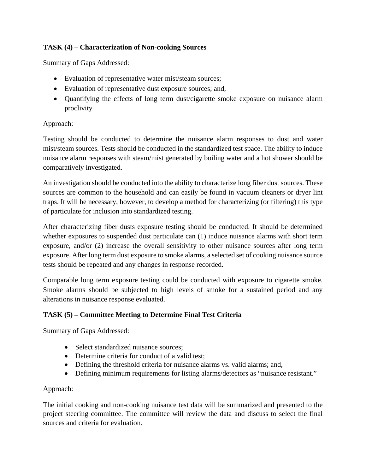# **TASK (4) – Characterization of Non-cooking Sources**

#### Summary of Gaps Addressed:

- Evaluation of representative water mist/steam sources;
- Evaluation of representative dust exposure sources; and,
- Quantifying the effects of long term dust/cigarette smoke exposure on nuisance alarm proclivity

### Approach:

Testing should be conducted to determine the nuisance alarm responses to dust and water mist/steam sources. Tests should be conducted in the standardized test space. The ability to induce nuisance alarm responses with steam/mist generated by boiling water and a hot shower should be comparatively investigated.

An investigation should be conducted into the ability to characterize long fiber dust sources. These sources are common to the household and can easily be found in vacuum cleaners or dryer lint traps. It will be necessary, however, to develop a method for characterizing (or filtering) this type of particulate for inclusion into standardized testing.

After characterizing fiber dusts exposure testing should be conducted. It should be determined whether exposures to suspended dust particulate can (1) induce nuisance alarms with short term exposure, and/or (2) increase the overall sensitivity to other nuisance sources after long term exposure. After long term dust exposure to smoke alarms, a selected set of cooking nuisance source tests should be repeated and any changes in response recorded.

Comparable long term exposure testing could be conducted with exposure to cigarette smoke. Smoke alarms should be subjected to high levels of smoke for a sustained period and any alterations in nuisance response evaluated.

### **TASK (5) – Committee Meeting to Determine Final Test Criteria**

### Summary of Gaps Addressed:

- Select standardized nuisance sources;
- Determine criteria for conduct of a valid test:
- Defining the threshold criteria for nuisance alarms vs. valid alarms; and,
- Defining minimum requirements for listing alarms/detectors as "nuisance resistant."

### Approach:

The initial cooking and non-cooking nuisance test data will be summarized and presented to the project steering committee. The committee will review the data and discuss to select the final sources and criteria for evaluation.